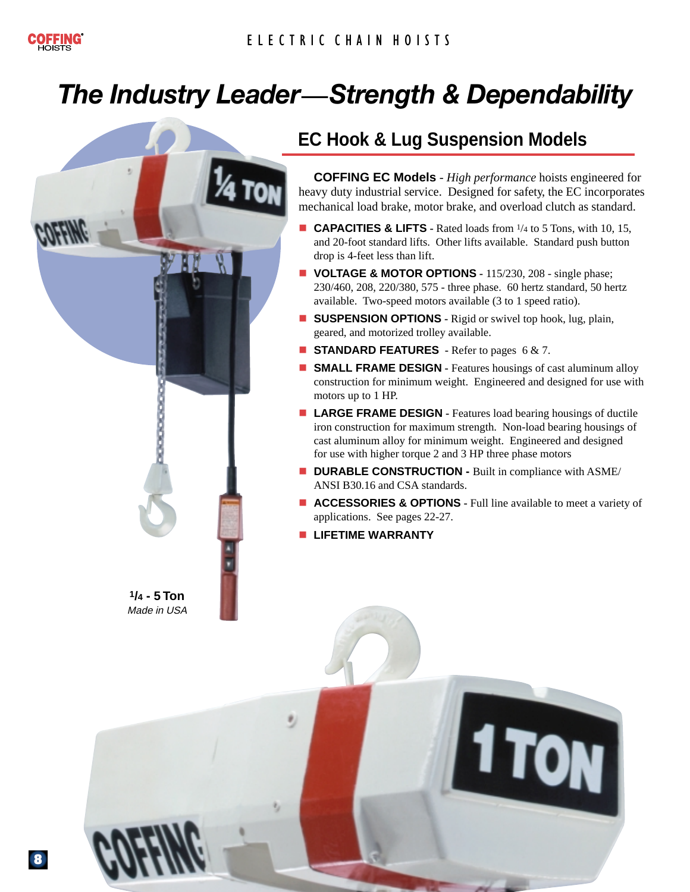# *The Industry Leader***—***Strength & Dependability The Industry Leader***—***Strength & Dependability*



# **EC Hook & Lug Suspension Models**

**COFFING EC Models** - *High performance* hoists engineered for heavy duty industrial service. Designed for safety, the EC incorporates mechanical load brake, motor brake, and overload clutch as standard.

- **CAPACITIES & LIFTS** Rated loads from <sup>1</sup>/4 to 5 Tons, with 10, 15, and 20-foot standard lifts. Other lifts available. Standard push button drop is 4-feet less than lift.
- **VOLTAGE & MOTOR OPTIONS -** 115/230, 208 single phase; 230/460, 208, 220/380, 575 - three phase. 60 hertz standard, 50 hertz available. Two-speed motors available (3 to 1 speed ratio).
- **SUSPENSION OPTIONS** Rigid or swivel top hook, lug, plain, geared, and motorized trolley available.
- **STANDARD FEATURES** Refer to pages 6 & 7.
- **SMALL FRAME DESIGN Features housings of cast aluminum alloy** construction for minimum weight. Engineered and designed for use with motors up to 1 HP.
- **LARGE FRAME DESIGN Features load bearing housings of ductile** iron construction for maximum strength. Non-load bearing housings of cast aluminum alloy for minimum weight. Engineered and designed for use with higher torque 2 and 3 HP three phase motors
- **DURABLE CONSTRUCTION Built in compliance with ASME/** ANSI B30.16 and CSA standards.
- **ACCESSORIES & OPTIONS** Full line available to meet a variety of applications. See pages 22-27.

**I TON** 

**LIFETIME WARRANTY**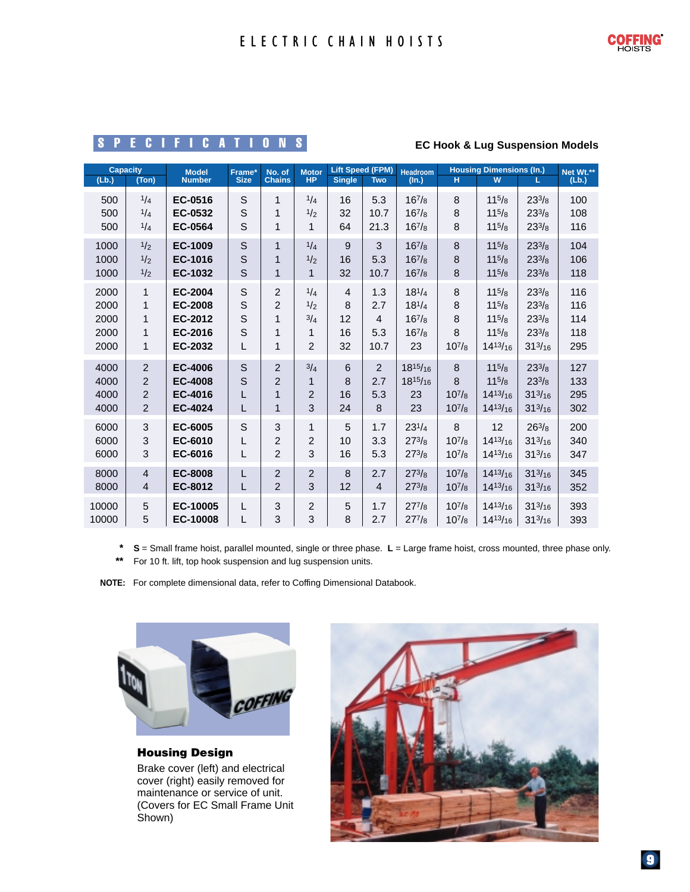## SPECIFICATIONS

#### **EC Hook & Lug Suspension Models**

| <b>Capacity</b><br>(Lb.)<br>(Ton) |                | <b>Model</b><br><b>Number</b> | Frame*<br><b>Size</b> | No. of<br><b>Chains</b> | <b>Motor</b><br><b>HP</b> | <b>Lift Speed (FPM)</b><br><b>Single</b><br><b>Two</b> |                | <b>Headroom</b><br>(In.) | <b>Housing Dimensions (In.)</b><br>W<br>H<br>L. |                 |                | Net Wt.**<br>(Lb.) |
|-----------------------------------|----------------|-------------------------------|-----------------------|-------------------------|---------------------------|--------------------------------------------------------|----------------|--------------------------|-------------------------------------------------|-----------------|----------------|--------------------|
| 500                               | 1/4            | EC-0516                       | S                     | 1                       | 1/4                       | 16                                                     | 5.3            | $16^{7}/_8$              | 8                                               | $11^{5}/8$      | $23^{3}/8$     | 100                |
| 500                               | 1/4            | EC-0532                       | S                     | 1                       | 1/2                       | 32                                                     | 10.7           | $16^{7}/8$               | 8                                               | $11^{5}/8$      | $23^{3}/8$     | 108                |
| 500                               | 1/4            | <b>EC-0564</b>                | S                     | $\mathbf{1}$            | $\mathbf{1}$              | 64                                                     | 21.3           | $16^{7}/8$               | 8                                               | $11^{5}/8$      | $23^{3}/8$     | 116                |
| 1000                              | 1/2            | <b>EC-1009</b>                | S                     | $\mathbf{1}$            | 1/4                       | 9                                                      | 3              | $16^{7}/8$               | 8                                               | $11^{5}/8$      | $23^{3}/8$     | 104                |
| 1000                              | 1/2            | EC-1016                       | $\mathsf{S}$          | 1                       | 1/2                       | 16                                                     | 5.3            | $16^{7}/8$               | 8                                               | $11^{5}/8$      | $23^{3}/8$     | 106                |
| 1000                              | 1/2            | EC-1032                       | S                     | $\mathbf{1}$            | $\mathbf{1}$              | 32                                                     | 10.7           | $16^{7}/_8$              | 8                                               | $11^{5}/8$      | $23^{3}/8$     | 118                |
| 2000                              | $\mathbf{1}$   | EC-2004                       | S                     | $\overline{2}$          | 1/4                       | $\overline{4}$                                         | 1.3            | $18^{1/4}$               | 8                                               | $11^{5}/8$      | $23^{3}/8$     | 116                |
| 2000                              | $\mathbf{1}$   | <b>EC-2008</b>                | S                     | $\overline{c}$          | 1/2                       | 8                                                      | 2.7            | $18^{1/4}$               | 8                                               | $11^{5}/8$      | $23^{3}/8$     | 116                |
| 2000                              | $\mathbf{1}$   | EC-2012                       | S                     | 1                       | 3/4                       | 12                                                     | $\overline{4}$ | $16^{7}/8$               | 8                                               | $11^{5}/8$      | $23^{3}/8$     | 114                |
| 2000                              | $\mathbf{1}$   | EC-2016                       | S                     | 1                       | 1                         | 16                                                     | 5.3            | $16^{7}/8$               | 8                                               | $11^{5}/8$      | $23^{3}/8$     | 118                |
| 2000                              | 1              | EC-2032                       | L                     | 1                       | $\overline{2}$            | 32                                                     | 10.7           | 23                       | $10^{7}/8$                                      | $14^{13}/_{16}$ | $31^{3}/_{16}$ | 295                |
| 4000                              | $\overline{2}$ | <b>EC-4006</b>                | $\mathsf{S}$          | $\overline{2}$          | 3/4                       | 6                                                      | $\overline{2}$ | $18^{15}/_{16}$          | 8                                               | $11^{5/8}$      | $23^{3}/8$     | 127                |
| 4000                              | 2              | <b>EC-4008</b>                | $\mathsf{S}$          | $\overline{2}$          | 1                         | 8                                                      | 2.7            | $18^{15}/_{16}$          | 8                                               | $11^{5}/8$      | $23^{3}/8$     | 133                |
| 4000                              | $\overline{c}$ | EC-4016                       | L                     | $\mathbf{1}$            | $\overline{2}$            | 16                                                     | 5.3            | 23                       | $10^{7}/8$                                      | $14^{13}/_{16}$ | $31^{3}/_{16}$ | 295                |
| 4000                              | $\overline{2}$ | EC-4024                       | L                     | $\mathbf{1}$            | 3                         | 24                                                     | 8              | 23                       | $10^{7}/8$                                      | $14^{13}/_{16}$ | $31^{3}/_{16}$ | 302                |
| 6000                              | 3              | EC-6005                       | S                     | 3                       | $\mathbf{1}$              | 5                                                      | 1.7            | $23^{1/4}$               | 8                                               | 12              | $26^{3}/8$     | 200                |
| 6000                              | $\mathbf{3}$   | EC-6010                       | L                     | 2                       | $\overline{2}$            | 10                                                     | 3.3            | $27^{3}/8$               | $10^{7}/8$                                      | $14^{13}/_{16}$ | $31^{3}/_{16}$ | 340                |
| 6000                              | 3              | EC-6016                       | L                     | $\overline{2}$          | 3                         | 16                                                     | 5.3            | $27^{3}/8$               | $10^{7}/8$                                      | $14^{13}/_{16}$ | $31^{3}/_{16}$ | 347                |
| 8000                              | $\overline{4}$ | <b>EC-8008</b>                | L                     | $\overline{c}$          | $\overline{2}$            | 8                                                      | 2.7            | $27^{3}/8$               | $10^{7}/8$                                      | $14^{13}/_{16}$ | $31^{3}/_{16}$ | 345                |
| 8000                              | $\overline{4}$ | EC-8012                       | L                     | $\overline{2}$          | 3                         | 12                                                     | $\overline{4}$ | $27^{3}/8$               | $10^{7}/_8$                                     | $14^{13}/_{16}$ | $31^{3}/_{16}$ | 352                |
| 10000                             | $\sqrt{5}$     | EC-10005                      | L                     | 3                       | $\overline{c}$            | 5                                                      | 1.7            | $27^{7}/8$               | $10^{7}/8$                                      | $14^{13}/_{16}$ | $31^{3}/_{16}$ | 393                |
| 10000                             | 5              | EC-10008                      |                       | 3                       | 3                         | 8                                                      | 2.7            | $27^{7}/8$               | $10^{7}/8$                                      | $14^{13}/_{16}$ | $31^{3}/_{16}$ | 393                |

**\* S** = Small frame hoist, parallel mounted, single or three phase. **L** = Large frame hoist, cross mounted, three phase only. **\*\*** For 10 ft. lift, top hook suspension and lug suspension units.

**NOTE:** For complete dimensional data, refer to Coffing Dimensional Databook.



**Housing Design** Brake cover (left) and electrical cover (right) easily removed for maintenance or service of unit. (Covers for EC Small Frame Unit

Shown)

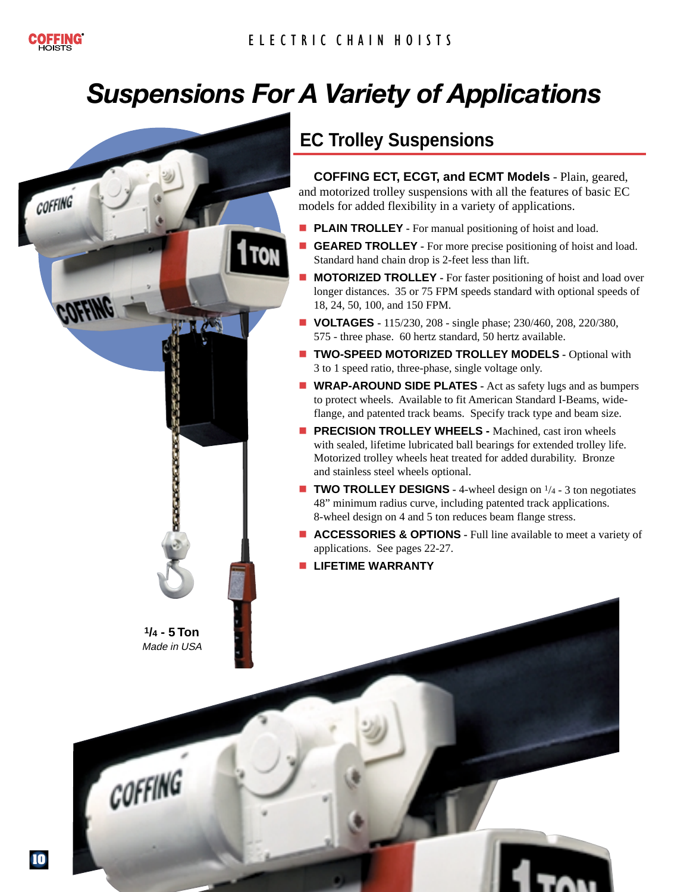# *Suspensions For A Variety of Applications Suspensions For A Variety of Applications*



## **EC Trolley Suspensions**

**COFFING ECT, ECGT, and ECMT Models** - Plain, geared, and motorized trolley suspensions with all the features of basic EC models for added flexibility in a variety of applications.

- **PLAIN TROLLEY** For manual positioning of hoist and load.
- **GEARED TROLLEY** For more precise positioning of hoist and load. Standard hand chain drop is 2-feet less than lift.
- **MOTORIZED TROLLEY** For faster positioning of hoist and load over longer distances. 35 or 75 FPM speeds standard with optional speeds of 18, 24, 50, 100, and 150 FPM.
- **VOLTAGES** 115/230, 208 single phase; 230/460, 208, 220/380, 575 - three phase. 60 hertz standard, 50 hertz available.
- **TWO-SPEED MOTORIZED TROLLEY MODELS Optional with** 3 to 1 speed ratio, three-phase, single voltage only.
- **WRAP-AROUND SIDE PLATES** Act as safety lugs and as bumpers to protect wheels. Available to fit American Standard I-Beams, wideflange, and patented track beams. Specify track type and beam size.
- **PRECISION TROLLEY WHEELS -** Machined, cast iron wheels with sealed, lifetime lubricated ball bearings for extended trolley life. Motorized trolley wheels heat treated for added durability. Bronze and stainless steel wheels optional.
- **TWO TROLLEY DESIGNS** 4-wheel design on <sup>1</sup>/4 3 ton negotiates 48" minimum radius curve, including patented track applications. 8-wheel design on 4 and 5 ton reduces beam flange stress.
- **ACCESSORIES & OPTIONS** Full line available to meet a variety of applications. See pages 22-27.
- **LIFETIME WARRANTY**

COFFING